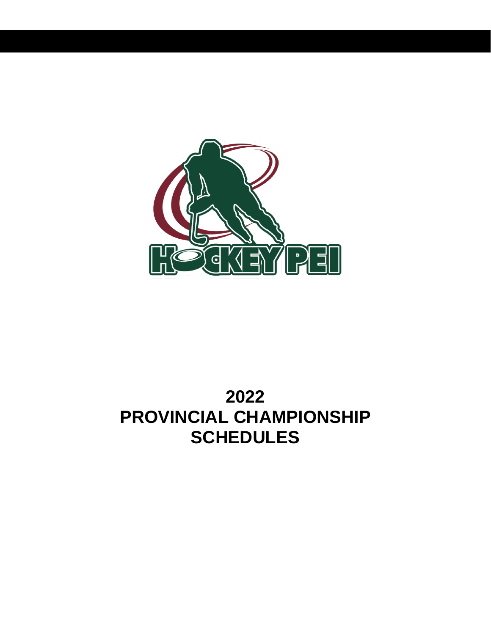

# **2022 PROVINCIAL CHAMPIONSHIP SCHEDULES**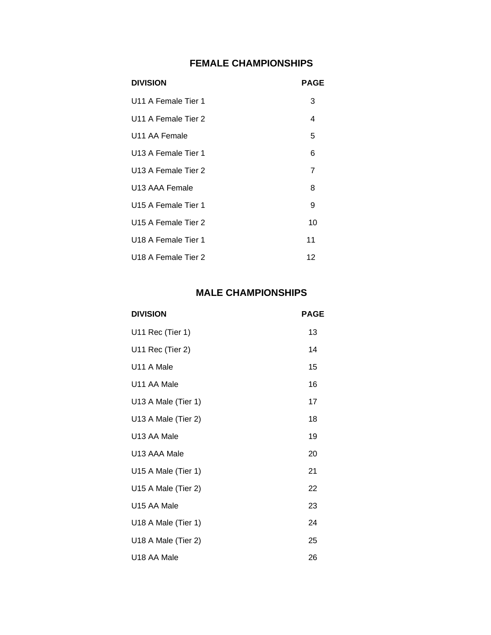# **FEMALE CHAMPIONSHIPS**

| <b>DIVISION</b>                 | <b>PAGE</b> |
|---------------------------------|-------------|
| U11 A Female Tier 1             | 3           |
| U11 A Female Tier 2             | 4           |
| U <sub>11</sub> AA Female       | 5           |
| U <sub>13</sub> A Female Tier 1 | 6           |
| U13 A Female Tier 2             | 7           |
| U <sub>13</sub> AAA Female      | 8           |
| U <sub>15</sub> A Female Tier 1 | 9           |
| U <sub>15</sub> A Female Tier 2 | 10          |
| U <sub>18</sub> A Female Tier 1 | 11          |
| U <sub>18</sub> A Female Tier 2 | 12          |

# **MALE CHAMPIONSHIPS**

| <b>DIVISION</b>     | <b>PAGE</b> |
|---------------------|-------------|
| U11 Rec (Tier 1)    | 13          |
| U11 Rec (Tier 2)    | 14          |
| U11 A Male          | 15          |
| U11 AA Male         | 16          |
| U13 A Male (Tier 1) | 17          |
| U13 A Male (Tier 2) | 18          |
| U13 AA Male         | 19          |
| U13 AAA Male        | 20          |
| U15 A Male (Tier 1) | 21          |
| U15 A Male (Tier 2) | 22          |
| U15 AA Male         | 23          |
| U18 A Male (Tier 1) | 24          |
| U18 A Male (Tier 2) | 25          |
| U18 AA Male         | 26          |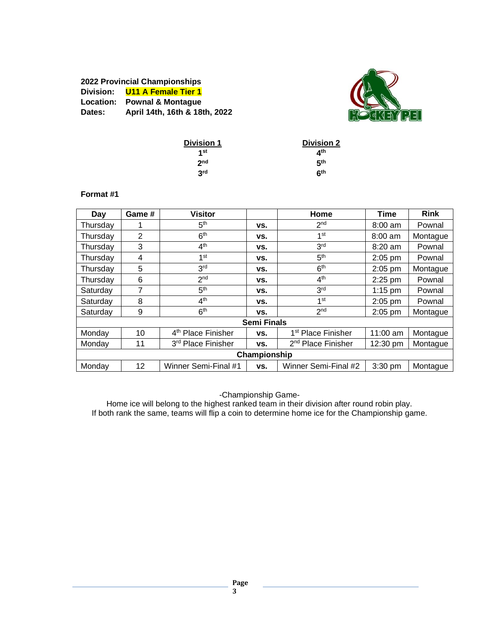# **2022 Provincial Championships Division: U11 A Female Tier 1 Location: Pownal & Montague Dates: April 14th, 16th & 18th, 2022**



| <b>Division 1</b> | <b>Division 2</b> |
|-------------------|-------------------|
| 1st               | ⊿th               |
| 2 <sub>nd</sub>   | 5 <sup>th</sup>   |
| 3rd               | 6 <sup>th</sup>   |

#### **Format #1**

| Day          | Game #         | <b>Visitor</b>                 |                    | Home                           | <b>Time</b>        | <b>Rink</b> |  |  |
|--------------|----------------|--------------------------------|--------------------|--------------------------------|--------------------|-------------|--|--|
| Thursday     |                | 5 <sup>th</sup>                | VS.                | 2 <sub>nd</sub>                | $8:00$ am          | Pownal      |  |  |
| Thursday     | $\overline{2}$ | 6 <sup>th</sup>                | VS.                | 1 <sup>st</sup>                | $8:00$ am          | Montague    |  |  |
| Thursday     | 3              | 4 <sup>th</sup>                | VS.                | 3 <sup>rd</sup>                | $8:20$ am          | Pownal      |  |  |
| Thursday     | 4              | 1st                            | VS.                | 5 <sup>th</sup>                | $2:05$ pm          | Pownal      |  |  |
| Thursday     | 5              | 3 <sup>rd</sup>                | VS.                | 6 <sup>th</sup>                | 2:05 pm            | Montague    |  |  |
| Thursday     | 6              | 2 <sub>nd</sub>                | VS.                | 4 <sup>th</sup>                | 2:25 pm            | Pownal      |  |  |
| Saturday     | 7              | 5 <sup>th</sup>                | VS.                | 3 <sup>rd</sup>                | $1:15$ pm          | Pownal      |  |  |
| Saturday     | 8              | 4 <sup>th</sup>                | VS.                | 1st                            | $2:05$ pm          | Pownal      |  |  |
| Saturday     | 9              | 6 <sup>th</sup>                | VS.                | 2 <sub>nd</sub>                | $2:05$ pm          | Montague    |  |  |
|              |                |                                | <b>Semi Finals</b> |                                |                    |             |  |  |
| Monday       | 10             | 4 <sup>th</sup> Place Finisher | VS.                | 1 <sup>st</sup> Place Finisher | $11:00$ am         | Montague    |  |  |
| Monday       | 11             | 3rd Place Finisher             | VS.                | 2 <sup>nd</sup> Place Finisher | $12:30 \text{ pm}$ | Montague    |  |  |
| Championship |                |                                |                    |                                |                    |             |  |  |
| Monday       | 12             | Winner Semi-Final #1           | VS.                | Winner Semi-Final #2           | 3:30 pm            | Montague    |  |  |

-Championship Game-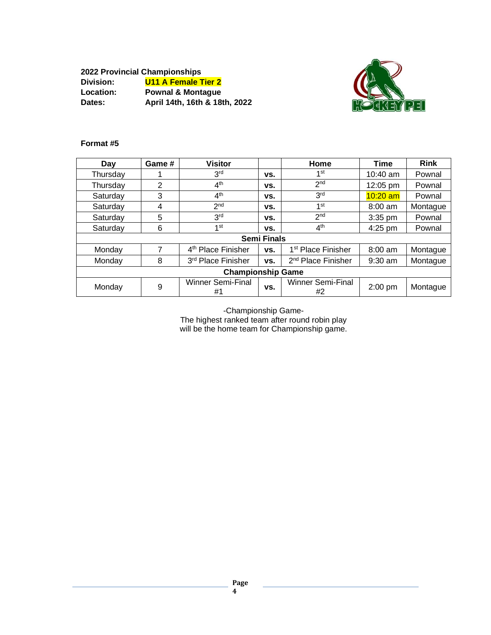**2022 Provincial Championships Division: U11 A Female Tier 2 Location: Pownal & Montague Dates: April 14th, 16th & 18th, 2022**



# **Format #5**

| Day                      | Game # | <b>Visitor</b>                 |                    | Home                           | <b>Time</b> | <b>Rink</b> |
|--------------------------|--------|--------------------------------|--------------------|--------------------------------|-------------|-------------|
| Thursday                 |        | 3 <sup>rd</sup>                | VS.                | 1st                            | $10:40$ am  | Pownal      |
| Thursday                 | 2      | 4 <sup>th</sup>                | VS.                | 2 <sub>nd</sub>                | 12:05 pm    | Pownal      |
| Saturday                 | 3      | 4 <sup>th</sup>                | vs.                | 3 <sup>rd</sup>                | $10:20$ am  | Pownal      |
| Saturday                 | 4      | 2 <sub>nd</sub>                | VS.                | 1 <sup>st</sup>                | $8:00$ am   | Montague    |
| Saturday                 | 5      | 3 <sup>rd</sup>                | VS.                | 2 <sub>nd</sub>                | $3:35$ pm   | Pownal      |
| Saturday                 | 6      | 1 <sup>st</sup>                | VS.                | 4 <sup>th</sup>                | $4:25$ pm   | Pownal      |
|                          |        |                                | <b>Semi Finals</b> |                                |             |             |
| Monday                   | 7      | 4 <sup>th</sup> Place Finisher | VS.                | 1 <sup>st</sup> Place Finisher | $8:00$ am   | Montague    |
| Monday                   | 8      | 3rd Place Finisher             | VS.                | 2 <sup>nd</sup> Place Finisher | $9:30$ am   | Montague    |
| <b>Championship Game</b> |        |                                |                    |                                |             |             |
| Monday                   | 9      | <b>Winner Semi-Final</b><br>#1 | VS.                | <b>Winner Semi-Final</b><br>#2 | $2:00$ pm   | Montague    |

-Championship Game-

The highest ranked team after round robin play will be the home team for Championship game.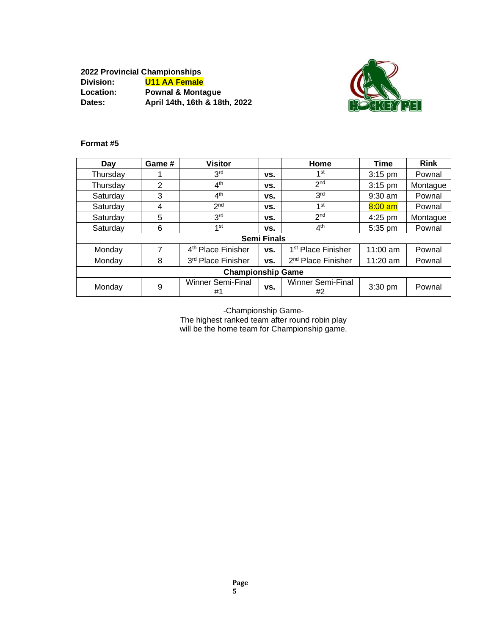**2022 Provincial Championships Division: U11 AA Female Location: Pownal & Montague Dates: April 14th, 16th & 18th, 2022**



# **Format #5**

| Day                      | Game # | <b>Visitor</b>                 |                    | Home                           | <b>Time</b> | <b>Rink</b> |
|--------------------------|--------|--------------------------------|--------------------|--------------------------------|-------------|-------------|
| Thursday                 |        | 3 <sup>rd</sup>                | VS.                | 1st                            | $3:15$ pm   | Pownal      |
| Thursday                 | 2      | 4 <sup>th</sup>                | VS.                | 2 <sub>nd</sub>                | 3:15 pm     | Montague    |
| Saturday                 | 3      | 4 <sup>th</sup>                | VS.                | 3 <sup>rd</sup>                | $9:30$ am   | Pownal      |
| Saturday                 | 4      | 2 <sub>nd</sub>                | VS.                | 1 <sup>st</sup>                | $8:00$ am   | Pownal      |
| Saturday                 | 5      | 3 <sup>rd</sup>                | VS.                | 2 <sub>nd</sub>                | 4:25 pm     | Montague    |
| Saturday                 | 6      | 1 <sup>st</sup>                | VS.                | 4 <sup>th</sup>                | 5:35 pm     | Pownal      |
|                          |        |                                | <b>Semi Finals</b> |                                |             |             |
| Monday                   | 7      | 4 <sup>th</sup> Place Finisher | VS.                | 1 <sup>st</sup> Place Finisher | $11:00$ am  | Pownal      |
| Monday                   | 8      | 3rd Place Finisher             | VS.                | 2 <sup>nd</sup> Place Finisher | $11:20$ am  | Pownal      |
| <b>Championship Game</b> |        |                                |                    |                                |             |             |
| Monday                   | 9      | <b>Winner Semi-Final</b><br>#1 | VS.                | <b>Winner Semi-Final</b><br>#2 | $3:30$ pm   | Pownal      |

-Championship Game-

The highest ranked team after round robin play will be the home team for Championship game.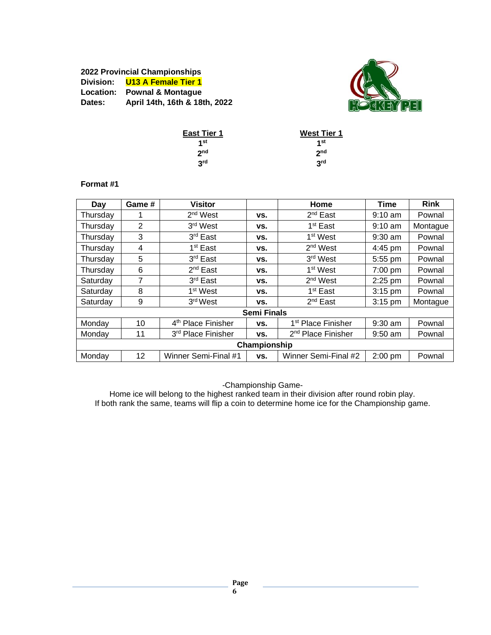# **2022 Provincial Championships Division: U13 A Female Tier 1 Location: Pownal & Montague Dates: April 14th, 16th & 18th, 2022**



| <b>East Tier 1</b> | <b>West Tier 1</b> |
|--------------------|--------------------|
| 1st                | 1st                |
| 2 <sub>nd</sub>    | 2 <sub>nd</sub>    |
| 3 <sup>rd</sup>    | 3 <sup>rd</sup>    |

#### **Format #1**

| Day          | Game # | <b>Visitor</b>                 |                    | Home                           | Time      | <b>Rink</b> |  |
|--------------|--------|--------------------------------|--------------------|--------------------------------|-----------|-------------|--|
| Thursday     | 1      | 2 <sup>nd</sup> West           | VS.                | 2 <sup>nd</sup> East           | $9:10$ am | Pownal      |  |
| Thursday     | 2      | 3rd West                       | VS.                | 1 <sup>st</sup> East           | $9:10$ am | Montague    |  |
| Thursday     | 3      | 3 <sup>rd</sup> East           | VS.                | 1 <sup>st</sup> West           | $9:30$ am | Pownal      |  |
| Thursday     | 4      | 1 <sup>st</sup> East           | VS.                | 2 <sup>nd</sup> West           | 4:45 pm   | Pownal      |  |
| Thursday     | 5      | 3 <sup>rd</sup> East           | VS.                | 3 <sup>rd</sup> West           | 5:55 pm   | Pownal      |  |
| Thursday     | 6      | 2 <sup>nd</sup> East           | VS.                | 1 <sup>st</sup> West           | 7:00 pm   | Pownal      |  |
| Saturday     | 7      | 3 <sup>rd</sup> East           | VS.                | 2 <sup>nd</sup> West           | $2:25$ pm | Pownal      |  |
| Saturday     | 8      | 1 <sup>st</sup> West           | VS.                | 1 <sup>st</sup> East           | $3:15$ pm | Pownal      |  |
| Saturday     | 9      | 3rd West                       | VS.                | $2^{nd}$ East                  | $3:15$ pm | Montague    |  |
|              |        |                                | <b>Semi Finals</b> |                                |           |             |  |
| Monday       | 10     | 4 <sup>th</sup> Place Finisher | VS.                | 1 <sup>st</sup> Place Finisher | $9:30$ am | Pownal      |  |
| Monday       | 11     | 3 <sup>rd</sup> Place Finisher | VS.                | 2 <sup>nd</sup> Place Finisher | $9:50$ am | Pownal      |  |
| Championship |        |                                |                    |                                |           |             |  |
| Monday       | 12     | Winner Semi-Final #1           | VS.                | Winner Semi-Final #2           | 2:00 pm   | Pownal      |  |

-Championship Game-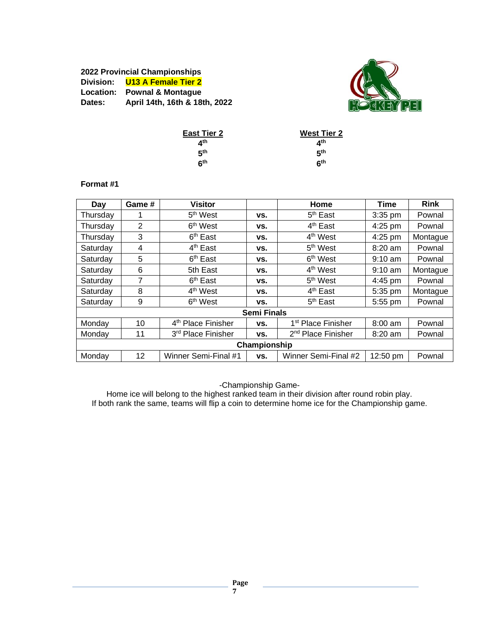# **2022 Provincial Championships Division: U13 A Female Tier 2 Location: Pownal & Montague Dates: April 14th, 16th & 18th, 2022**



| <b>West Tier 2</b> |
|--------------------|
| ⊿th                |
| 5th                |
| հ <sup>th</sup>    |
|                    |

#### **Format #1**

| Day          | Game # | <b>Visitor</b>                 |                    | Home                           | <b>Time</b>       | <b>Rink</b> |  |
|--------------|--------|--------------------------------|--------------------|--------------------------------|-------------------|-------------|--|
| Thursday     |        | 5 <sup>th</sup> West           | VS.                | $5th$ East                     | $3:35$ pm         | Pownal      |  |
| Thursday     | 2      | 6 <sup>th</sup> West           | VS.                | $4th$ East                     | 4:25 pm           | Pownal      |  |
| Thursday     | 3      | 6 <sup>th</sup> East           | VS.                | 4 <sup>th</sup> West           | 4:25 pm           | Montague    |  |
| Saturday     | 4      | 4 <sup>th</sup> East           | VS.                | 5 <sup>th</sup> West           | $8:20$ am         | Pownal      |  |
| Saturday     | 5      | 6 <sup>th</sup> East           | VS.                | 6 <sup>th</sup> West           | $9:10 \text{ am}$ | Pownal      |  |
| Saturday     | 6      | 5th East                       | VS.                | 4 <sup>th</sup> West           | $9:10$ am         | Montague    |  |
| Saturday     | 7      | 6 <sup>th</sup> East           | VS.                | 5 <sup>th</sup> West           | 4:45 pm           | Pownal      |  |
| Saturday     | 8      | 4 <sup>th</sup> West           | VS.                | 4 <sup>th</sup> East           | 5:35 pm           | Montague    |  |
| Saturday     | 9      | 6 <sup>th</sup> West           | VS.                | $5th$ East                     | 5:55 pm           | Pownal      |  |
|              |        |                                | <b>Semi Finals</b> |                                |                   |             |  |
| Monday       | 10     | 4 <sup>th</sup> Place Finisher | VS.                | 1 <sup>st</sup> Place Finisher | $8:00$ am         | Pownal      |  |
| Monday       | 11     | 3rd Place Finisher             | VS.                | 2 <sup>nd</sup> Place Finisher | $8:20$ am         | Pownal      |  |
| Championship |        |                                |                    |                                |                   |             |  |
| Monday       | 12     | Winner Semi-Final #1           | VS.                | Winner Semi-Final #2           | 12:50 pm          | Pownal      |  |

-Championship Game-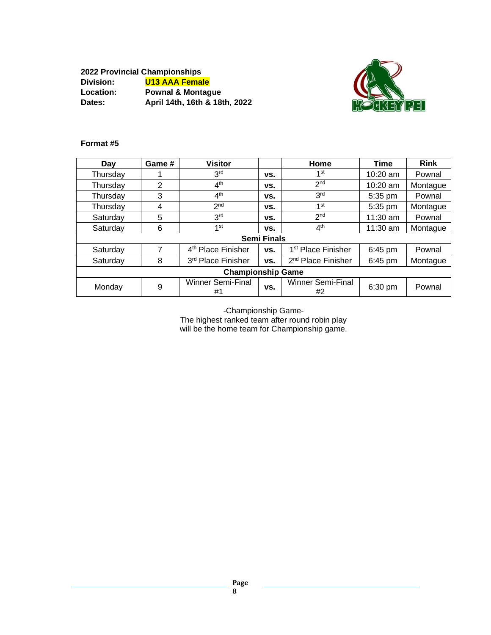**2022 Provincial Championships Division: U13 AAA Female Location: Pownal & Montague Dates: April 14th, 16th & 18th, 2022**



# **Format #5**

| Day                      | Game # | <b>Visitor</b>                 |                    | Home                           | Time       | <b>Rink</b> |
|--------------------------|--------|--------------------------------|--------------------|--------------------------------|------------|-------------|
| Thursday                 |        | 3 <sup>rd</sup>                | VS.                | 1st                            | $10:20$ am | Pownal      |
| Thursday                 | 2      | 4 <sup>th</sup>                | VS.                | 2 <sub>nd</sub>                | $10:20$ am | Montague    |
| Thursday                 | 3      | 4 <sup>th</sup>                | VS.                | 3 <sup>rd</sup>                | 5:35 pm    | Pownal      |
| Thursday                 | 4      | 2 <sub>nd</sub>                | VS.                | 1 <sup>st</sup>                | 5:35 pm    | Montague    |
| Saturday                 | 5      | 3 <sup>rd</sup>                | VS.                | 2 <sub>nd</sub>                | $11:30$ am | Pownal      |
| Saturday                 | 6      | 1 <sup>st</sup>                | VS.                | 4 <sup>th</sup>                | $11:30$ am | Montague    |
|                          |        |                                | <b>Semi Finals</b> |                                |            |             |
| Saturday                 | 7      | 4 <sup>th</sup> Place Finisher | VS.                | 1 <sup>st</sup> Place Finisher | 6:45 pm    | Pownal      |
| Saturday                 | 8      | 3rd Place Finisher             | VS.                | 2 <sup>nd</sup> Place Finisher | 6:45 pm    | Montague    |
| <b>Championship Game</b> |        |                                |                    |                                |            |             |
| Monday                   | 9      | <b>Winner Semi-Final</b><br>#1 | VS.                | <b>Winner Semi-Final</b><br>#2 | 6:30 pm    | Pownal      |

-Championship Game-

The highest ranked team after round robin play will be the home team for Championship game.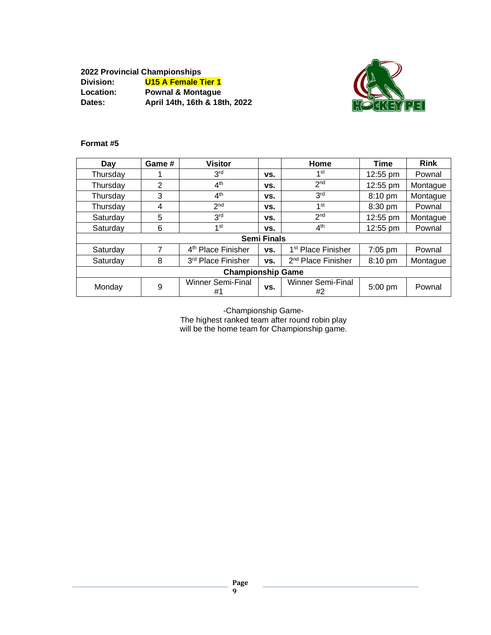**2022 Provincial Championships Division: U15 A Female Tier 1 Location: Pownal & Montague Dates: April 14th, 16th & 18th, 2022**



# **Format #5**

| Day                      | Game # | <b>Visitor</b>                 |                    | Home                           | Time      | <b>Rink</b> |
|--------------------------|--------|--------------------------------|--------------------|--------------------------------|-----------|-------------|
| Thursday                 |        | 3 <sup>rd</sup>                | VS.                | 1st                            | 12:55 pm  | Pownal      |
| Thursday                 | 2      | 4 <sup>th</sup>                | VS.                | 2 <sub>nd</sub>                | 12:55 pm  | Montague    |
| Thursday                 | 3      | 4 <sup>th</sup>                | VS.                | 3 <sup>rd</sup>                | 8:10 pm   | Montague    |
| Thursday                 | 4      | 2 <sub>nd</sub>                | VS.                | 1 <sup>st</sup>                | $8:30$ pm | Pownal      |
| Saturday                 | 5      | 3 <sup>rd</sup>                | VS.                | 2 <sub>nd</sub>                | 12:55 pm  | Montague    |
| Saturday                 | 6      | 1 <sup>st</sup>                | VS.                | 4 <sup>th</sup>                | 12:55 pm  | Pownal      |
|                          |        |                                | <b>Semi Finals</b> |                                |           |             |
| Saturday                 | 7      | 4 <sup>th</sup> Place Finisher | VS.                | 1 <sup>st</sup> Place Finisher | 7:05 pm   | Pownal      |
| Saturday                 | 8      | 3rd Place Finisher             | VS.                | 2 <sup>nd</sup> Place Finisher | 8:10 pm   | Montague    |
| <b>Championship Game</b> |        |                                |                    |                                |           |             |
| Monday                   | 9      | <b>Winner Semi-Final</b><br>#1 | VS.                | <b>Winner Semi-Final</b><br>#2 | 5:00 pm   | Pownal      |

-Championship Game-

The highest ranked team after round robin play will be the home team for Championship game.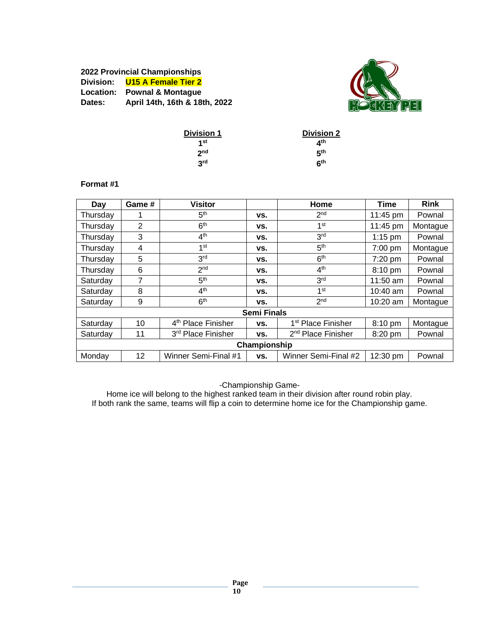# **2022 Provincial Championships Division: U15 A Female Tier 2 Location: Pownal & Montague Dates: April 14th, 16th & 18th, 2022**



| <b>Division 1</b> | <b>Division 2</b> |
|-------------------|-------------------|
| 1st               | ⊿th               |
| 2 <sub>nd</sub>   | 5 <sup>th</sup>   |
| 3 <sup>rd</sup>   | 6 <sup>th</sup>   |

#### **Format #1**

| Day      | Game #         | <b>Visitor</b>                 |                    | Home                           | <b>Time</b>       | <b>Rink</b> |
|----------|----------------|--------------------------------|--------------------|--------------------------------|-------------------|-------------|
| Thursday |                | 5 <sup>th</sup>                | VS.                | 2 <sub>nd</sub>                | 11:45 pm          | Pownal      |
| Thursday | $\overline{2}$ | 6 <sup>th</sup>                | VS.                | 1 <sup>st</sup>                | 11:45 pm          | Montague    |
| Thursday | 3              | 4 <sup>th</sup>                | VS.                | 3 <sup>rd</sup>                | $1:15$ pm         | Pownal      |
| Thursday | 4              | 1 st                           | VS.                | 5 <sup>th</sup>                | 7:00 pm           | Montague    |
| Thursday | 5              | 3 <sup>rd</sup>                | VS.                | 6 <sup>th</sup>                | 7:20 pm           | Pownal      |
| Thursday | 6              | 2 <sub>nd</sub>                | VS.                | 4 <sup>th</sup>                | 8:10 pm           | Pownal      |
| Saturdav | 7              | 5 <sup>th</sup>                | VS.                | 3 <sup>rd</sup>                | $11:50$ am        | Pownal      |
| Saturday | 8              | 4 <sup>th</sup>                | VS.                | 1 <sup>st</sup>                | $10:40$ am        | Pownal      |
| Saturday | 9              | 6 <sup>th</sup>                | VS.                | 2 <sub>nd</sub>                | $10:20$ am        | Montague    |
|          |                |                                | <b>Semi Finals</b> |                                |                   |             |
| Saturday | 10             | 4 <sup>th</sup> Place Finisher | VS.                | 1 <sup>st</sup> Place Finisher | $8:10 \text{ pm}$ | Montague    |
| Saturday | 11             | 3rd Place Finisher             | VS.                | 2 <sup>nd</sup> Place Finisher | $8:20 \text{ pm}$ | Pownal      |
|          |                |                                | Championship       |                                |                   |             |
| Monday   | 12             | Winner Semi-Final #1           | VS.                | Winner Semi-Final #2           | 12:30 pm          | Pownal      |

-Championship Game-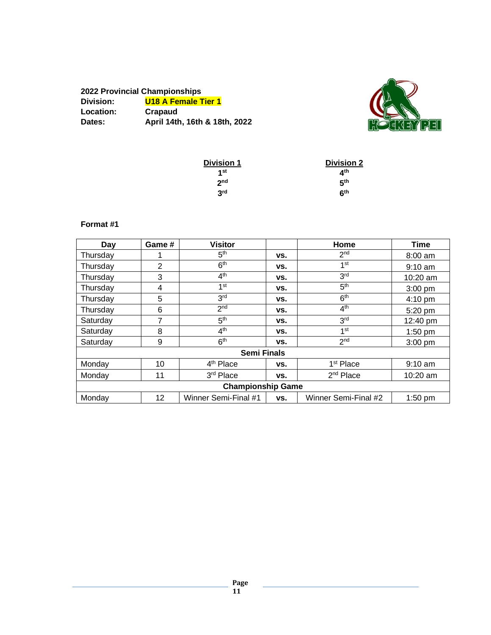| 2022 Provincial Championships |                               |
|-------------------------------|-------------------------------|
| Division:                     | <b>U18 A Female Tier 1</b>    |
| Location:                     | Crapaud                       |
| Dates:                        | April 14th, 16th & 18th, 2022 |



| <b>Division 1</b> | <b>Division 2</b>        |
|-------------------|--------------------------|
| 1 <sub>st</sub>   | $\mathbf{A}^{\text{th}}$ |
| 2 <sub>nd</sub>   | 5 <sup>th</sup>          |
| 3rd               | <b>հ</b> th              |

#### **Format #1**

| Day      | Game # | <b>Visitor</b>           |     | Home                  | <b>Time</b>       |
|----------|--------|--------------------------|-----|-----------------------|-------------------|
| Thursday |        | 5 <sup>th</sup>          | VS. | 2 <sub>nd</sub>       | $8:00$ am         |
| Thursday | 2      | 6 <sup>th</sup>          | VS. | 1 <sup>st</sup>       | $9:10$ am         |
| Thursday | 3      | 4 <sup>th</sup>          | VS. | 3 <sup>rd</sup>       | 10:20 am          |
| Thursday | 4      | 1 <sup>st</sup>          | VS. | 5 <sup>th</sup>       | $3:00$ pm         |
| Thursday | 5      | 3 <sup>rd</sup>          | VS. | 6 <sup>th</sup>       | $4:10 \text{ pm}$ |
| Thursday | 6      | 2 <sub>nd</sub>          | VS. | 4 <sup>th</sup>       | 5:20 pm           |
| Saturday | 7      | 5 <sup>th</sup>          | VS. | 3 <sup>rd</sup>       | 12:40 pm          |
| Saturday | 8      | 4 <sup>th</sup>          | VS. | 1 <sup>st</sup>       | 1:50 pm           |
| Saturday | 9      | 6 <sup>th</sup>          | VS. | 2 <sub>nd</sub>       | $3:00$ pm         |
|          |        | <b>Semi Finals</b>       |     |                       |                   |
| Monday   | 10     | 4 <sup>th</sup> Place    | VS. | 1 <sup>st</sup> Place | $9:10$ am         |
| Monday   | 11     | 3rd Place                | VS. | $2nd$ Place           | $10:20$ am        |
|          |        | <b>Championship Game</b> |     |                       |                   |
| Monday   | 12     | Winner Semi-Final #1     | VS. | Winner Semi-Final #2  | $1:50$ pm         |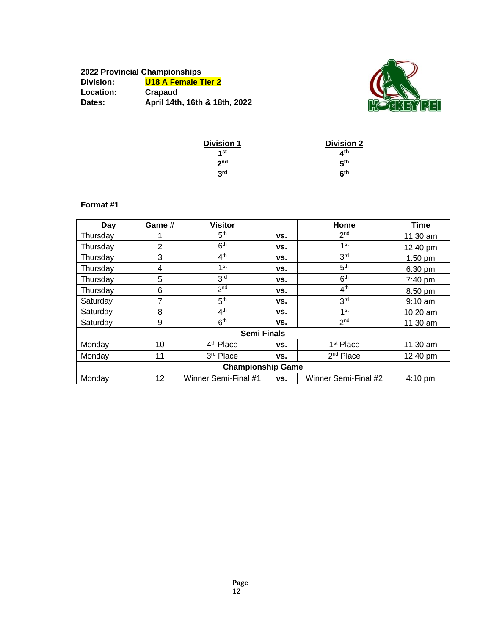| 2022 Provincial Championships |                               |  |  |  |
|-------------------------------|-------------------------------|--|--|--|
| Division:                     | <b>U18 A Female Tier 2</b>    |  |  |  |
| Location:                     | Crapaud                       |  |  |  |
| Dates:                        | April 14th, 16th & 18th, 2022 |  |  |  |



| <b>Division 1</b> | <b>Division 2</b> |
|-------------------|-------------------|
| 1 <sub>st</sub>   | ⊿th               |
| 2 <sub>nd</sub>   | 5 <sup>th</sup>   |
| 3rd               | <b>հ</b> th       |

# **Format #1**

| Day      | Game # | <b>Visitor</b>           |     | Home                  | Time       |
|----------|--------|--------------------------|-----|-----------------------|------------|
| Thursday |        | 5 <sup>th</sup>          | VS. | 2 <sub>nd</sub>       | 11:30 am   |
| Thursday | 2      | 6 <sup>th</sup>          | VS. | 1 <sup>st</sup>       | 12:40 pm   |
| Thursday | 3      | 4 <sup>th</sup>          | VS. | 3 <sup>rd</sup>       | $1:50$ pm  |
| Thursday | 4      | 1st                      | VS. | 5 <sup>th</sup>       | 6:30 pm    |
| Thursday | 5      | 3 <sup>rd</sup>          | VS. | 6 <sup>th</sup>       | 7:40 pm    |
| Thursday | 6      | 2 <sub>nd</sub>          | VS. | 4 <sup>th</sup>       | 8:50 pm    |
| Saturday | 7      | 5 <sup>th</sup>          | VS. | 3 <sup>rd</sup>       | $9:10$ am  |
| Saturday | 8      | 4 <sup>th</sup>          | VS. | 1st                   | 10:20 am   |
| Saturday | 9      | 6 <sup>th</sup>          | VS. | 2 <sub>nd</sub>       | 11:30 am   |
|          |        | <b>Semi Finals</b>       |     |                       |            |
| Monday   | 10     | 4 <sup>th</sup> Place    | VS. | 1 <sup>st</sup> Place | $11:30$ am |
| Monday   | 11     | 3rd Place                | VS. | $2nd$ Place           | 12:40 pm   |
|          |        | <b>Championship Game</b> |     |                       |            |
| Monday   | 12     | Winner Semi-Final #1     | VS. | Winner Semi-Final #2  | $4:10$ pm  |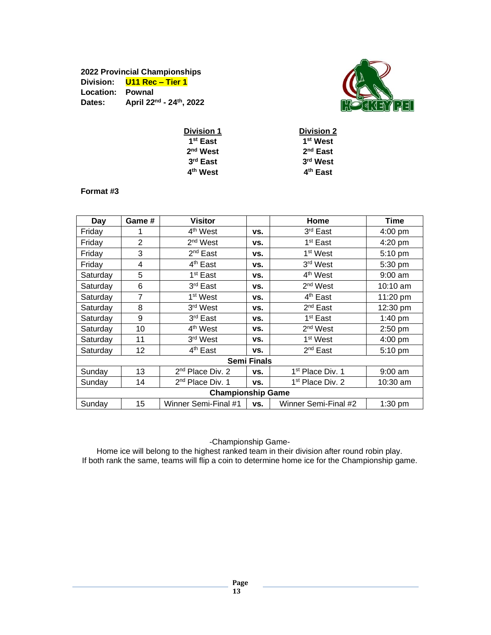# **2022 Provincial Championships Division: U11 Rec – Tier 1 Location: Pownal Dates: April 22 nd - 24 th, 2022**



| <b>Division 1</b>    | <b>Division 2</b>    |
|----------------------|----------------------|
| 1 <sup>st</sup> East | 1 <sup>st</sup> West |
| $2nd$ West           | $2nd$ East           |
| $3rd$ East           | 3 <sup>rd</sup> West |
| 4 <sup>th</sup> West | 4 <sup>th</sup> East |
|                      |                      |

#### **Format #3**

| Day                      | Game #         | <b>Visitor</b>               |                    | Home                         | Time               |
|--------------------------|----------------|------------------------------|--------------------|------------------------------|--------------------|
| Friday                   |                | 4 <sup>th</sup> West         | VS.                | 3rd East                     | $4:00$ pm          |
| Friday                   | 2              | 2 <sup>nd</sup> West         | VS.                | 1 <sup>st</sup> East         | 4:20 pm            |
| Friday                   | 3              | 2 <sup>nd</sup> East         | VS.                | 1 <sup>st</sup> West         | 5:10 pm            |
| Friday                   | 4              | 4 <sup>th</sup> East         | VS.                | 3rd West                     | 5:30 pm            |
| Saturday                 | 5              | 1 <sup>st</sup> East         | VS.                | 4 <sup>th</sup> West         | $9:00$ am          |
| Saturday                 | 6              | 3 <sup>rd</sup> East         | VS.                | 2 <sup>nd</sup> West         | $10:10 \text{ am}$ |
| Saturday                 | $\overline{7}$ | 1 <sup>st</sup> West         | VS.                | 4 <sup>th</sup> East         | 11:20 pm           |
| Saturday                 | 8              | 3 <sup>rd</sup> West         | VS.                | 2 <sup>nd</sup> East         | 12:30 pm           |
| Saturday                 | 9              | 3rd East                     | VS.                | 1 <sup>st</sup> East         | 1:40 pm            |
| Saturday                 | 10             | 4 <sup>th</sup> West         | VS.                | $2nd$ West                   | $2:50$ pm          |
| Saturday                 | 11             | 3 <sup>rd</sup> West         | VS.                | 1 <sup>st</sup> West         | $4:00 \text{ pm}$  |
| Saturday                 | 12             | 4 <sup>th</sup> East         | VS.                | $2nd$ East                   | 5:10 pm            |
|                          |                |                              | <b>Semi Finals</b> |                              |                    |
| Sunday                   | 13             | 2 <sup>nd</sup> Place Div. 2 | VS.                | 1 <sup>st</sup> Place Div. 1 | $9:00$ am          |
| Sunday                   | 14             | 2 <sup>nd</sup> Place Div. 1 | VS.                | 1 <sup>st</sup> Place Div. 2 | 10:30 am           |
| <b>Championship Game</b> |                |                              |                    |                              |                    |
| Sunday                   | 15             | Winner Semi-Final #1         | VS.                | Winner Semi-Final #2         | $1:30$ pm          |

-Championship Game-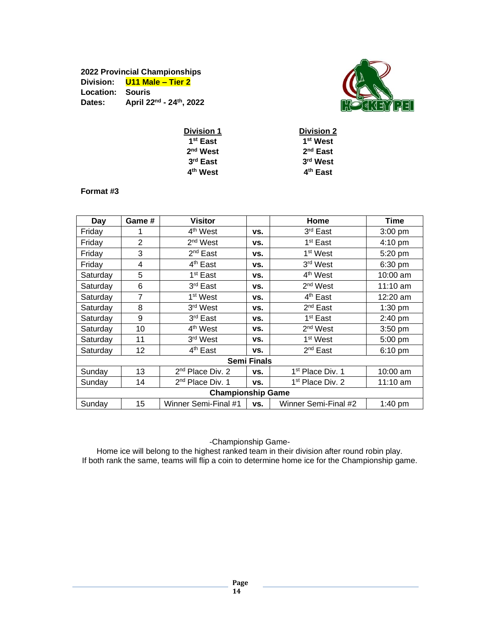# **2022 Provincial Championships Division: U11 Male – Tier 2 Location: Souris Dates: April 22 nd - 24 th, 2022**



| <b>Division 1</b>    | <b>Division 2</b>    |
|----------------------|----------------------|
| 1 <sup>st</sup> East | 1 <sup>st</sup> West |
| $2nd$ West           | $2nd$ East           |
| $3rd$ East           | 3 <sup>rd</sup> West |
| 4 <sup>th</sup> West | 4 <sup>th</sup> East |
|                      |                      |

#### **Format #3**

| Day                      | Game #         | <b>Visitor</b>               |                    | Home                         | Time               |
|--------------------------|----------------|------------------------------|--------------------|------------------------------|--------------------|
| Friday                   |                | 4 <sup>th</sup> West         | VS.                | 3 <sup>rd</sup> East         | $3:00$ pm          |
| Friday                   | $\overline{2}$ | 2 <sup>nd</sup> West         | VS.                | 1 <sup>st</sup> East         | $4:10 \text{ pm}$  |
| Friday                   | 3              | $2^{nd}$ East                | VS.                | 1 <sup>st</sup> West         | 5:20 pm            |
| Friday                   | 4              | 4 <sup>th</sup> East         | VS.                | 3 <sup>rd</sup> West         | $6:30$ pm          |
| Saturday                 | 5              | 1 <sup>st</sup> East         | VS.                | 4 <sup>th</sup> West         | 10:00 am           |
| Saturday                 | 6              | 3 <sup>rd</sup> East         | VS.                | 2 <sup>nd</sup> West         | $11:10$ am         |
| Saturday                 | 7              | 1 <sup>st</sup> West         | VS.                | 4 <sup>th</sup> East         | $12:20$ am         |
| Saturday                 | 8              | 3 <sup>rd</sup> West         | VS.                | $2nd$ East                   | $1:30$ pm          |
| Saturday                 | 9              | 3rd East                     | VS.                | 1 <sup>st</sup> East         | $2:40$ pm          |
| Saturday                 | 10             | 4 <sup>th</sup> West         | VS.                | 2 <sup>nd</sup> West         | $3:50$ pm          |
| Saturday                 | 11             | 3 <sup>rd</sup> West         | VS.                | 1 <sup>st</sup> West         | $5:00$ pm          |
| Saturday                 | 12             | 4 <sup>th</sup> East         | VS.                | $2nd$ East                   | $6:10 \text{ pm}$  |
|                          |                |                              | <b>Semi Finals</b> |                              |                    |
| Sunday                   | 13             | 2 <sup>nd</sup> Place Div. 2 | VS.                | 1 <sup>st</sup> Place Div. 1 | $10:00$ am         |
| Sunday                   | 14             | 2 <sup>nd</sup> Place Div. 1 | VS.                | 1 <sup>st</sup> Place Div. 2 | $11:10 \text{ am}$ |
| <b>Championship Game</b> |                |                              |                    |                              |                    |
| Sunday                   | 15             | Winner Semi-Final #1         | VS.                | Winner Semi-Final #2         | $1:40$ pm          |

-Championship Game-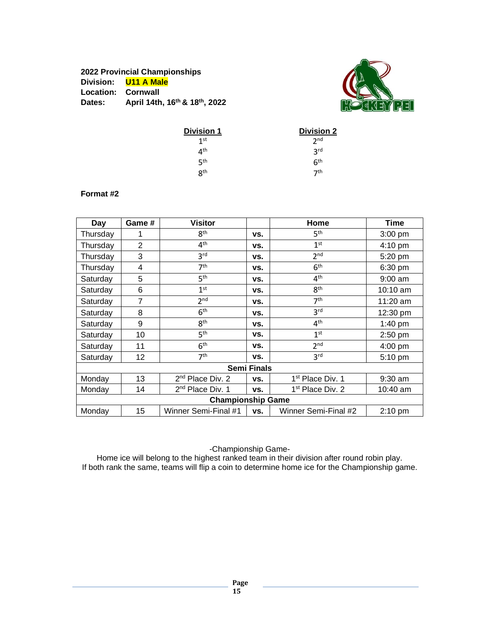# **2022 Provincial Championships Division: U11 A Male Location: Cornwall Dates: April 14th, 16th & 18th, 2022**



| <b>Division 1</b> | <b>Division 2</b> |
|-------------------|-------------------|
| 1 <sup>st</sup>   | 2 <sub>nd</sub>   |
| 4th               | 3 <sub>rd</sub>   |
| ςth               | 6 <sup>th</sup>   |
| <b>Rth</b>        | 7th               |

#### **Format #2**

| Day                | Game #         | <b>Visitor</b>               |     | Home                         | Time              |
|--------------------|----------------|------------------------------|-----|------------------------------|-------------------|
| Thursday           |                | 8 <sup>th</sup>              | VS. | 5 <sup>th</sup>              | $3:00$ pm         |
| Thursday           | $\overline{2}$ | 4 <sup>th</sup>              | VS. | 1 <sup>st</sup>              | 4:10 pm           |
| Thursday           | 3              | 3 <sup>rd</sup>              | VS. | 2 <sub>nd</sub>              | 5:20 pm           |
| Thursday           | 4              | 7 <sup>th</sup>              | VS. | 6 <sup>th</sup>              | 6:30 pm           |
| Saturday           | 5              | 5 <sup>th</sup>              | VS. | 4 <sup>th</sup>              | $9:00$ am         |
| Saturday           | 6              | 1 <sup>st</sup>              | VS. | 8 <sup>th</sup>              | $10:10$ am        |
| Saturday           | 7              | 2 <sup>nd</sup>              | VS. | 7 <sup>th</sup>              | 11:20 $am$        |
| Saturday           | 8              | 6 <sup>th</sup>              | VS. | 3 <sup>rd</sup>              | 12:30 pm          |
| Saturday           | 9              | 8 <sup>th</sup>              | VS. | 4 <sup>th</sup>              | 1:40 pm           |
| Saturday           | 10             | 5 <sup>th</sup>              | VS. | 1 <sup>st</sup>              | $2:50$ pm         |
| Saturday           | 11             | 6 <sup>th</sup>              | VS. | 2 <sub>nd</sub>              | 4:00 pm           |
| Saturday           | 12             | 7 <sup>th</sup>              | VS. | 3 <sup>rd</sup>              | 5:10 pm           |
| <b>Semi Finals</b> |                |                              |     |                              |                   |
| Monday             | 13             | $2nd$ Place Div. 2           | VS. | 1 <sup>st</sup> Place Div. 1 | $9:30$ am         |
| Monday             | 14             | 2 <sup>nd</sup> Place Div. 1 | VS. | 1 <sup>st</sup> Place Div. 2 | 10:40 am          |
|                    |                | <b>Championship Game</b>     |     |                              |                   |
| Monday             | 15             | Winner Semi-Final #1         | VS. | Winner Semi-Final #2         | $2:10 \text{ pm}$ |

-Championship Game-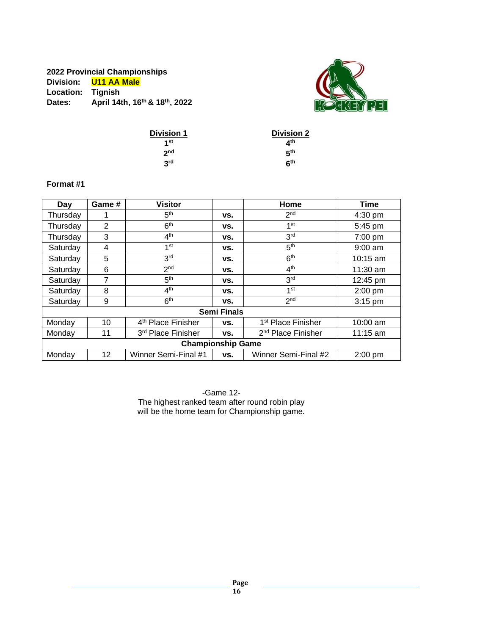# **2022 Provincial Championships Division: U11 AA Male Location: Tignish Dates: April 14th, 16th & 18th, 2022**



| <b>Division 1</b> | <b>Division 2</b> |
|-------------------|-------------------|
| 1 <sub>st</sub>   | ⊿th               |
| 2 <sub>nd</sub>   | 5th               |
| 3 <sup>rd</sup>   | հ <sup>th</sup>   |

#### **Format #1**

| Day      | Game #         | <b>Visitor</b>                 |                    | Home                           | Time       |
|----------|----------------|--------------------------------|--------------------|--------------------------------|------------|
| Thursday |                | 5 <sup>th</sup>                | VS.                | 2 <sub>nd</sub>                | $4:30$ pm  |
| Thursday | $\overline{2}$ | 6 <sup>th</sup>                | VS.                | 1 <sup>st</sup>                | 5:45 pm    |
| Thursday | 3              | 4 <sup>th</sup>                | VS.                | 3 <sup>rd</sup>                | 7:00 pm    |
| Saturday | 4              | 1 <sup>st</sup>                | VS.                | 5 <sup>th</sup>                | $9:00$ am  |
| Saturday | 5              | 3 <sup>rd</sup>                | VS.                | 6 <sup>th</sup>                | $10:15$ am |
| Saturday | 6              | 2 <sub>nd</sub>                | VS.                | 4 <sup>th</sup>                | $11:30$ am |
| Saturday | 7              | 5 <sup>th</sup>                | VS.                | 3 <sup>rd</sup>                | 12:45 pm   |
| Saturday | 8              | 4 <sup>th</sup>                | VS.                | 1 <sup>st</sup>                | $2:00$ pm  |
| Saturday | 9              | 6 <sup>th</sup>                | VS.                | 2 <sub>nd</sub>                | $3:15$ pm  |
|          |                |                                | <b>Semi Finals</b> |                                |            |
| Monday   | 10             | 4 <sup>th</sup> Place Finisher | VS.                | 1 <sup>st</sup> Place Finisher | 10:00 am   |
| Monday   | 11             | 3rd Place Finisher             | VS.                | 2 <sup>nd</sup> Place Finisher | $11:15$ am |
|          |                | <b>Championship Game</b>       |                    |                                |            |
| Monday   | 12             | Winner Semi-Final #1           | VS.                | Winner Semi-Final #2           | $2:00$ pm  |

-Game 12- The highest ranked team after round robin play will be the home team for Championship game.

**Page**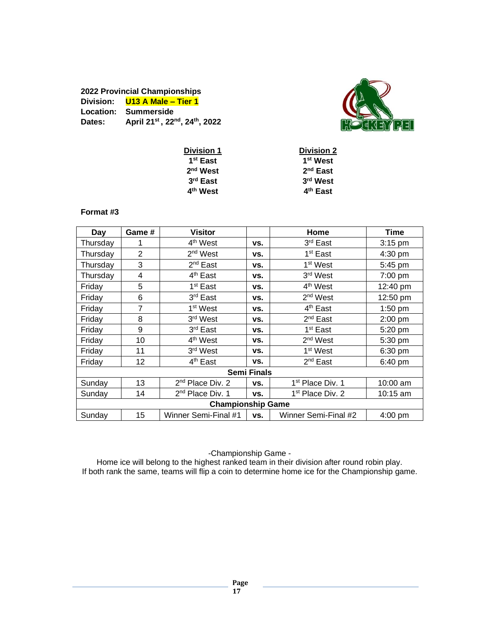#### **2022 Provincial Championships Division: U13 A Male – Tier 1 Location: Summerside Dates: April 21 st , 22nd , 24 th, 2022**



| <b>Division 1</b>    | <b>Division 2</b>    |
|----------------------|----------------------|
| 1 <sup>st</sup> East | 1 <sup>st</sup> West |
| $2nd$ West           | $2nd$ East           |
| 3 <sup>rd</sup> East | 3rd West             |
| 4 <sup>th</sup> West | 4 <sup>th</sup> East |

## **Format #3**

| Day                | Game # | <b>Visitor</b>               |     | Home                         | Time               |
|--------------------|--------|------------------------------|-----|------------------------------|--------------------|
| Thursday           |        | 4 <sup>th</sup> West         | VS. | 3 <sup>rd</sup> East         | $3:15$ pm          |
| Thursday           | 2      | 2 <sup>nd</sup> West         | VS. | 1 <sup>st</sup> East         | 4:30 pm            |
| Thursday           | 3      | 2 <sup>nd</sup> East         | VS. | 1 <sup>st</sup> West         | 5:45 pm            |
| Thursday           | 4      | 4 <sup>th</sup> East         | VS. | 3rd West                     | 7:00 pm            |
| Friday             | 5      | 1 <sup>st</sup> East         | VS. | 4 <sup>th</sup> West         | $12:40 \text{ pm}$ |
| Friday             | 6      | 3 <sup>rd</sup> East         | VS. | $2nd$ West                   | 12:50 pm           |
| Friday             | 7      | 1 <sup>st</sup> West         | VS. | 4 <sup>th</sup> East         | 1:50 pm            |
| Friday             | 8      | 3 <sup>rd</sup> West         | VS. | $2^{nd}$ East                | 2:00 pm            |
| Friday             | 9      | 3 <sup>rd</sup> East         | VS. | 1 <sup>st</sup> East         | 5:20 pm            |
| Friday             | 10     | 4 <sup>th</sup> West         | VS. | $2nd$ West                   | 5:30 pm            |
| Friday             | 11     | 3 <sup>rd</sup> West         | VS. | 1 <sup>st</sup> West         | 6:30 pm            |
| Friday             | 12     | 4 <sup>th</sup> East         | VS. | $2nd$ East                   | 6:40 pm            |
| <b>Semi Finals</b> |        |                              |     |                              |                    |
| Sunday             | 13     | 2 <sup>nd</sup> Place Div. 2 | VS. | 1 <sup>st</sup> Place Div. 1 | 10:00 am           |
| Sunday             | 14     | 2 <sup>nd</sup> Place Div. 1 | VS. | 1 <sup>st</sup> Place Div. 2 | $10:15$ am         |
|                    |        | <b>Championship Game</b>     |     |                              |                    |
| Sunday             | 15     | Winner Semi-Final #1         | VS. | Winner Semi-Final #2         | $4:00 \text{ pm}$  |

-Championship Game -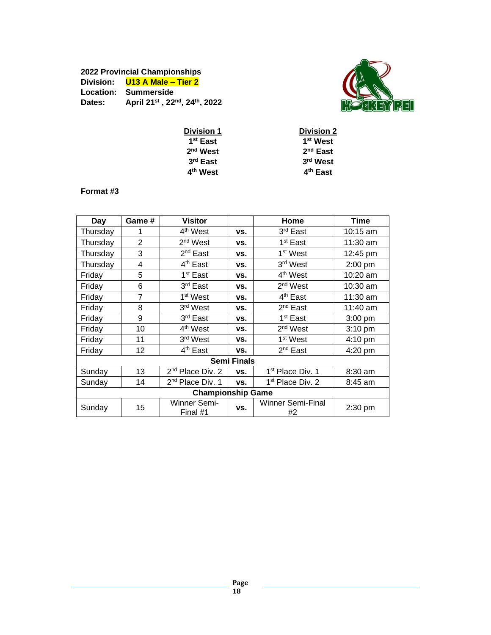#### **2022 Provincial Championships Division: U13 A Male – Tier 2 Location: Summerside Dates: April 21 st , 22 nd , 24th, 2022**



| <b>Division 1</b>    | <b>Division 2</b>    |
|----------------------|----------------------|
| 1 <sup>st</sup> East | 1 <sup>st</sup> West |
| 2 <sup>nd</sup> West | $2nd$ East           |
| 3rd East             | 3rd West             |
| 4 <sup>th</sup> West | 4 <sup>th</sup> East |
|                      |                      |

#### **Format #3**

| Day      | Game #            | <b>Visitor</b>               |                    | Home                         | <b>Time</b> |
|----------|-------------------|------------------------------|--------------------|------------------------------|-------------|
| Thursday | 1                 | 4 <sup>th</sup> West         | VS.                | 3rd East                     | $10:15$ am  |
| Thursday | $\overline{2}$    | 2 <sup>nd</sup> West         | VS.                | 1 <sup>st</sup> East         | 11:30 am    |
| Thursday | 3                 | 2 <sup>nd</sup> East         | VS.                | 1 <sup>st</sup> West         | 12:45 pm    |
| Thursday | 4                 | 4 <sup>th</sup> East         | VS.                | 3rd West                     | 2:00 pm     |
| Friday   | 5                 | 1 <sup>st</sup> East         | VS.                | 4 <sup>th</sup> West         | 10:20 am    |
| Friday   | 6                 | 3 <sup>rd</sup> East         | VS.                | 2 <sup>nd</sup> West         | 10:30 am    |
| Friday   | 7                 | 1 <sup>st</sup> West         | VS.                | 4 <sup>th</sup> East         | 11:30 am    |
| Friday   | 8                 | 3rd West                     | VS.                | 2 <sup>nd</sup> East         | 11:40 am    |
| Friday   | 9                 | 3rd East                     | VS.                | 1 <sup>st</sup> East         | 3:00 pm     |
| Friday   | 10                | 4 <sup>th</sup> West         | VS.                | 2 <sup>nd</sup> West         | 3:10 pm     |
| Friday   | 11                | 3 <sup>rd</sup> West         | VS.                | 1 <sup>st</sup> West         | 4:10 pm     |
| Friday   | $12 \overline{ }$ | 4 <sup>th</sup> East         | VS.                | 2 <sup>nd</sup> East         | $4:20$ pm   |
|          |                   |                              | <b>Semi Finals</b> |                              |             |
| Sunday   | 13                | 2 <sup>nd</sup> Place Div. 2 | VS.                | 1 <sup>st</sup> Place Div. 1 | $8:30$ am   |
| Sunday   | 14                | 2 <sup>nd</sup> Place Div. 1 | VS.                | 1 <sup>st</sup> Place Div. 2 | 8:45 am     |
|          |                   | <b>Championship Game</b>     |                    |                              |             |
| Sunday   | 15                | Winner Semi-<br>Final #1     | VS.                | Winner Semi-Final<br>#2      | 2:30 pm     |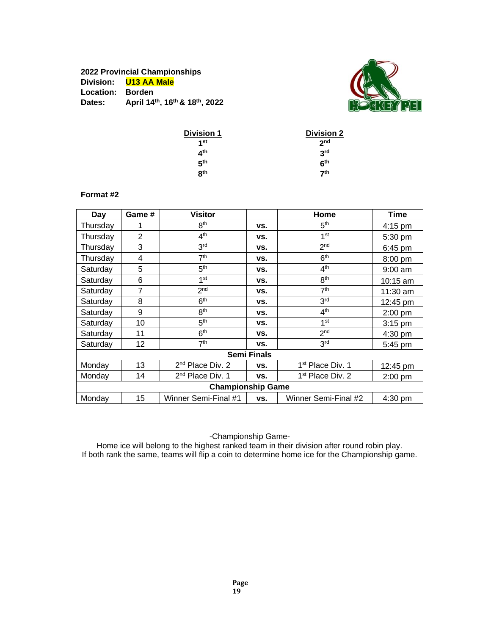### **2022 Provincial Championships Division: U13 AA Male Location: Borden Dates: April 14th, 16th & 18th, 2022**

**Format #2**



| <b>Division 1</b> | <b>Division 2</b> |
|-------------------|-------------------|
| 1st               | 2 <sub>nd</sub>   |
| ⊿th               | 3 <sup>rd</sup>   |
| 5 <sup>th</sup>   | հ <sup>th</sup>   |
| R <sup>th</sup>   | 7 <sup>th</sup>   |

#### **Day Game # Visitor Home Time** Thursday  $1$  8<sup>th</sup> th **vs.** 5  $5<sup>th</sup>$  4:15 pm Thursday  $\begin{vmatrix} 2 & 1 \end{vmatrix}$  4<sup>th</sup> th **vs.** 1  $1<sup>st</sup>$  5:30 pm Thursday  $3^{rd}$ rd **vs.** 2  $2<sup>nd</sup>$  6:45 pm Thursday 4 7<sup>th</sup> th **vs.** 6  $6<sup>th</sup>$  8:00 pm Saturday 5 5<sup>th</sup> th **vs.** 4  $4<sup>th</sup>$  9:00 am Saturday 6 1<sup>st</sup> st **vs.** 8  $8<sup>th</sup>$  10:15 am Saturday 7 2<sup>nd</sup> nd **vs.** 7  $\frac{7^{\text{th}}}{3^{\text{rd}}}$  11:30 am<br> $\frac{3^{\text{rd}}}{12:45 \text{ pm}}$ Saturday 8 6<sup>th</sup> th **vs.** 3  $12:45$  pm Saturday  $9 \t 9$  8<sup>th</sup> th **vs.** 4  $\frac{4^{\text{th}}}{1^{\text{st}}}$  2:00 pm Saturday 10 5<sup>th</sup> th **vs.** 1  $3:15$  pm Saturday 11  $6<sup>th</sup>$ th **vs.** 2 2<sup>nd</sup> 4:30 pm Saturday 12 7<sup>th</sup> th **vs.** 3  $3<sup>rd</sup>$  5:45 pm **Semi Finals** Monday | 13  $2<sup>nd</sup>$  Place Div. 2  $\vert$  vs.  $1<sup>st</sup>$  Place Div. 1 | 12:45 pm Monday 14  $2<sup>nd</sup>$  Place Div. 1 **vs.**  $1<sup>st</sup>$  Place Div. 2 2:00 pm **Championship Game** Monday 15 | Winner Semi-Final #1 | vs. | Winner Semi-Final #2 | 4:30 pm

-Championship Game-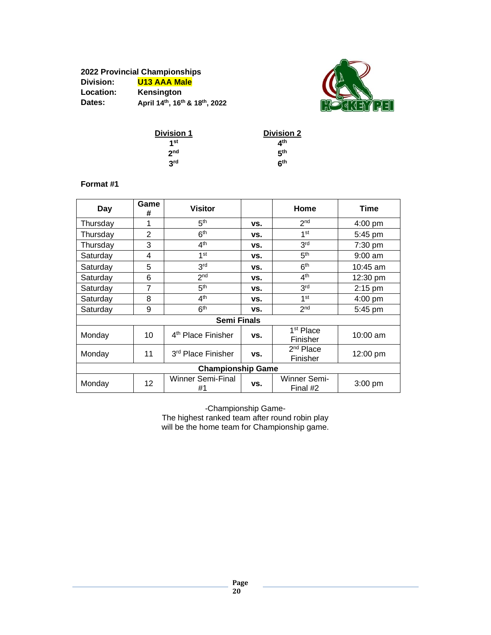#### **2022 Provincial Championships Division: U13 AAA Male Location: Kensington Dates: April 14th, 16th & 18th, 2022**



| <b>Division 1</b> | <b>Division 2</b> |
|-------------------|-------------------|
| 1st               | ⊿th               |
| 2 <sub>nd</sub>   | 5 <sup>th</sup>   |
| 3 <sup>rd</sup>   | հth               |

#### **Format #1**

| Day                      | Game<br>#      | <b>Visitor</b>                 |     | Home                              | Time       |
|--------------------------|----------------|--------------------------------|-----|-----------------------------------|------------|
| Thursday                 | 1              | 5 <sup>th</sup>                | VS. | 2 <sub>nd</sub>                   | $4:00$ pm  |
| Thursday                 | $\overline{2}$ | 6 <sup>th</sup>                | VS. | 1 <sup>st</sup>                   | 5:45 pm    |
| Thursday                 | 3              | 4 <sup>th</sup>                | VS. | 3 <sup>rd</sup>                   | 7:30 pm    |
| Saturday                 | 4              | 1st                            | VS. | 5 <sup>th</sup>                   | $9:00$ am  |
| Saturday                 | 5              | 3 <sup>rd</sup>                | VS. | 6 <sup>th</sup>                   | $10:45$ am |
| Saturday                 | 6              | 2 <sub>nd</sub>                | VS. | 4 <sup>th</sup>                   | 12:30 pm   |
| Saturday                 | 7              | 5 <sup>th</sup>                | VS. | 3 <sup>rd</sup>                   | 2:15 pm    |
| Saturday                 | 8              | 4 <sup>th</sup>                | VS. | 1 <sup>st</sup>                   | $4:00$ pm  |
| Saturday                 | 9              | 6 <sup>th</sup>                | VS. | 2 <sub>nd</sub>                   | 5:45 pm    |
| <b>Semi Finals</b>       |                |                                |     |                                   |            |
| Monday                   | 10             | 4 <sup>th</sup> Place Finisher | VS. | 1 <sup>st</sup> Place<br>Finisher | 10:00 am   |
| Monday                   | 11             | 3rd Place Finisher             | VS. | $2nd$ Place<br>Finisher           | 12:00 pm   |
| <b>Championship Game</b> |                |                                |     |                                   |            |
| Monday                   | 12             | Winner Semi-Final<br>#1        | VS. | Winner Semi-<br>Final #2          | $3:00$ pm  |

-Championship Game-The highest ranked team after round robin play will be the home team for Championship game.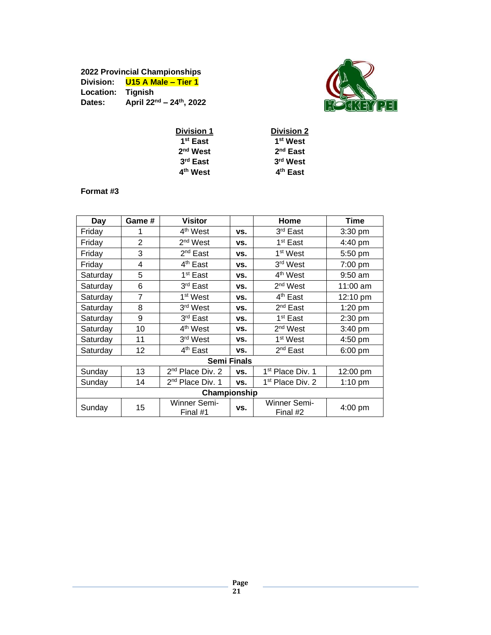# **2022 Provincial Championships Division: U15 A Male – Tier 1 Location: Tignish Dates: April 22nd – 24th, 2022**



| <b>Division 1</b>    | <b>Division 2</b>    |
|----------------------|----------------------|
| 1 <sup>st</sup> East | 1 <sup>st</sup> West |
| 2 <sup>nd</sup> West | 2 <sup>nd</sup> East |
| 3rd East             | 3rd West             |
| 4 <sup>th</sup> West | 4 <sup>th</sup> East |
|                      |                      |

#### **Format #3**

| Day      | Game #         | <b>Visitor</b>               |                    | Home                         | Time      |
|----------|----------------|------------------------------|--------------------|------------------------------|-----------|
| Friday   |                | 4 <sup>th</sup> West         | VS.                | 3rd East                     | $3:30$ pm |
| Friday   | $\overline{2}$ | 2 <sup>nd</sup> West         | VS.                | 1 <sup>st</sup> East         | 4:40 pm   |
| Friday   | 3              | 2 <sup>nd</sup> East         | VS.                | 1 <sup>st</sup> West         | 5:50 pm   |
| Friday   | 4              | 4 <sup>th</sup> East         | VS.                | 3rd West                     | 7:00 pm   |
| Saturday | 5              | 1 <sup>st</sup> East         | VS.                | 4 <sup>th</sup> West         | $9:50$ am |
| Saturday | 6              | 3rd East                     | VS.                | 2 <sup>nd</sup> West         | 11:00 am  |
| Saturday | 7              | 1 <sup>st</sup> West         | VS.                | 4 <sup>th</sup> East         | 12:10 pm  |
| Saturday | 8              | 3rd West                     | VS.                | $2nd$ East                   | $1:20$ pm |
| Saturday | 9              | 3rd East                     | VS.                | 1 <sup>st</sup> East         | 2:30 pm   |
| Saturday | 10             | 4 <sup>th</sup> West         | VS.                | 2 <sup>nd</sup> West         | 3:40 pm   |
| Saturday | 11             | 3 <sup>rd</sup> West         | VS.                | 1 <sup>st</sup> West         | 4:50 pm   |
| Saturday | 12             | 4 <sup>th</sup> East         | VS.                | 2 <sup>nd</sup> East         | 6:00 pm   |
|          |                |                              | <b>Semi Finals</b> |                              |           |
| Sunday   | 13             | 2 <sup>nd</sup> Place Div. 2 | VS.                | 1 <sup>st</sup> Place Div. 1 | 12:00 pm  |
| Sunday   | 14             | 2 <sup>nd</sup> Place Div. 1 | VS.                | 1 <sup>st</sup> Place Div. 2 | $1:10$ pm |
|          |                | Championship                 |                    |                              |           |
| Sunday   | 15             | Winner Semi-<br>Final #1     | VS.                | Winner Semi-<br>Final #2     | 4:00 pm   |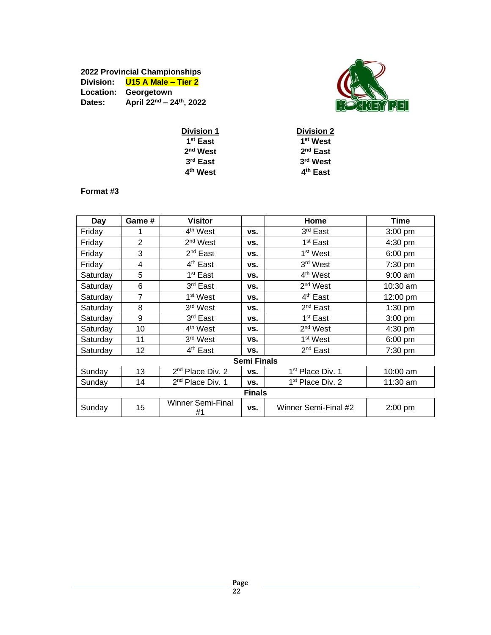# **2022 Provincial Championships Division: U15 A Male – Tier 2 Location: Georgetown Dates: April 22nd – 24th, 2022**



| <b>Division 2</b>    |
|----------------------|
| 1 <sup>st</sup> West |
| $2nd$ East           |
| 3rd West             |
| 4 <sup>th</sup> East |
|                      |

#### **Format #3**

|               |                | <b>Visitor</b>                 |                    |                              |            |
|---------------|----------------|--------------------------------|--------------------|------------------------------|------------|
| Day           | Game #         |                                |                    | Home                         | Time       |
| Friday        |                | 4 <sup>th</sup> West           | VS.                | 3rd East                     | $3:00$ pm  |
| Friday        | $\overline{2}$ | $2nd$ West                     | VS.                | 1 <sup>st</sup> East         | $4:30$ pm  |
| Friday        | 3              | $2nd$ East                     | VS.                | 1 <sup>st</sup> West         | $6:00$ pm  |
| Friday        | 4              | 4 <sup>th</sup> East           | VS.                | 3 <sup>rd</sup> West         | 7:30 pm    |
| Saturday      | 5              | 1 <sup>st</sup> East           | VS.                | 4 <sup>th</sup> West         | $9:00$ am  |
| Saturday      | 6              | 3rd East                       | VS.                | $2nd$ West                   | 10:30 am   |
| Saturday      | 7              | 1 <sup>st</sup> West           | VS.                | 4 <sup>th</sup> East         | 12:00 pm   |
| Saturday      | 8              | 3rd West                       | VS.                | 2 <sup>nd</sup> East         | $1:30$ pm  |
| Saturday      | 9              | 3rd East                       | VS.                | 1 <sup>st</sup> East         | $3:00$ pm  |
| Saturday      | 10             | 4 <sup>th</sup> West           | VS.                | $2nd$ West                   | 4:30 pm    |
| Saturday      | 11             | 3 <sup>rd</sup> West           | VS.                | 1 <sup>st</sup> West         | 6:00 pm    |
| Saturday      | 12             | 4 <sup>th</sup> East           | VS.                | $2^{nd}$ East                | $7:30$ pm  |
|               |                |                                | <b>Semi Finals</b> |                              |            |
| Sunday        | 13             | 2 <sup>nd</sup> Place Div. 2   | VS.                | 1 <sup>st</sup> Place Div. 1 | $10:00$ am |
| Sunday        | 14             | 2 <sup>nd</sup> Place Div. 1   | VS.                | 1 <sup>st</sup> Place Div. 2 | 11:30 am   |
| <b>Finals</b> |                |                                |                    |                              |            |
| Sunday        | 15             | <b>Winner Semi-Final</b><br>#1 | VS.                | Winner Semi-Final #2         | $2:00$ pm  |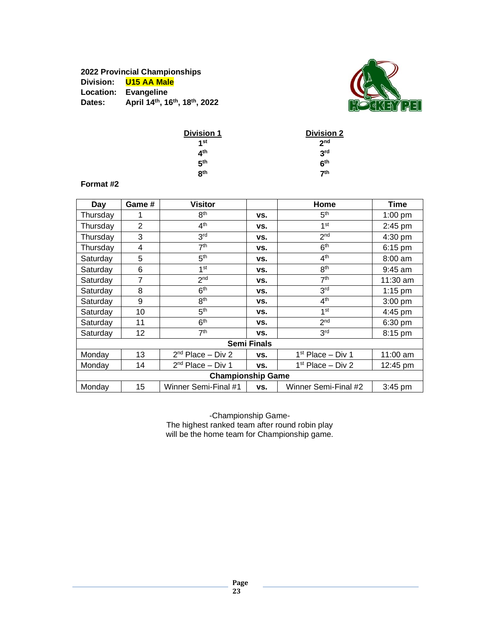# **2022 Provincial Championships Division: U15 AA Male Location: Evangeline Dates: April 14th, 16th, 18th, 2022**



| <b>Division 1</b> | <b>Division 2</b> |
|-------------------|-------------------|
| 1st               | 2 <sub>nd</sub>   |
| 4 <sup>th</sup>   | 3 <sup>rd</sup>   |
| 5 <sup>th</sup>   | 6 <sup>th</sup>   |
| R <sup>th</sup>   | 7 <sup>th</sup>   |

#### **Format #2**

| Day                      | Game #            | <b>Visitor</b>                |                    | Home                          | Time               |  |
|--------------------------|-------------------|-------------------------------|--------------------|-------------------------------|--------------------|--|
| Thursdav                 |                   | 8 <sup>th</sup>               | VS.                | 5 <sup>th</sup>               | $1:00$ pm          |  |
| Thursday                 | $\overline{2}$    | 4 <sup>th</sup>               | VS.                | 1 <sup>st</sup>               | $2:45$ pm          |  |
| Thursday                 | 3                 | 3 <sup>rd</sup>               | VS.                | 2 <sub>nd</sub>               | $4:30$ pm          |  |
| Thursday                 | 4                 | 7 <sup>th</sup>               | VS.                | 6 <sup>th</sup>               | $6:15$ pm          |  |
| Saturday                 | 5                 | 5 <sup>th</sup>               | VS.                | 4 <sup>th</sup>               | $8:00$ am          |  |
| Saturday                 | 6                 | 1 <sup>st</sup>               | VS.                | 8 <sup>th</sup>               | $9:45$ am          |  |
| Saturday                 | 7                 | 2 <sub>nd</sub>               | VS.                | 7 <sup>th</sup>               | $11:30$ am         |  |
| Saturday                 | 8                 | 6 <sup>th</sup>               | VS.                | 3 <sup>rd</sup>               | $1:15$ pm          |  |
| Saturday                 | 9                 | 8 <sup>th</sup>               | VS.                | 4 <sup>th</sup>               | $3:00$ pm          |  |
| Saturday                 | 10                | 5 <sup>th</sup>               | VS.                | 1 <sup>st</sup>               | 4:45 pm            |  |
| Saturday                 | 11                | 6 <sup>th</sup>               | VS.                | 2 <sub>nd</sub>               | $6:30$ pm          |  |
| Saturday                 | $12 \overline{ }$ | 7 <sup>th</sup>               | VS.                | 3 <sup>rd</sup>               | $8:15$ pm          |  |
|                          |                   |                               | <b>Semi Finals</b> |                               |                    |  |
| Monday                   | 13                | 2 <sup>nd</sup> Place – Div 2 | VS.                | 1 <sup>st</sup> Place – Div 1 | $11:00$ am         |  |
| Monday                   | 14                | $2nd$ Place – Div 1           | VS.                | 1 <sup>st</sup> Place – Div 2 | $12:45 \text{ pm}$ |  |
| <b>Championship Game</b> |                   |                               |                    |                               |                    |  |
| Monday                   | 15                | Winner Semi-Final #1          | VS.                | Winner Semi-Final #2          | $3:45$ pm          |  |

-Championship Game-The highest ranked team after round robin play will be the home team for Championship game.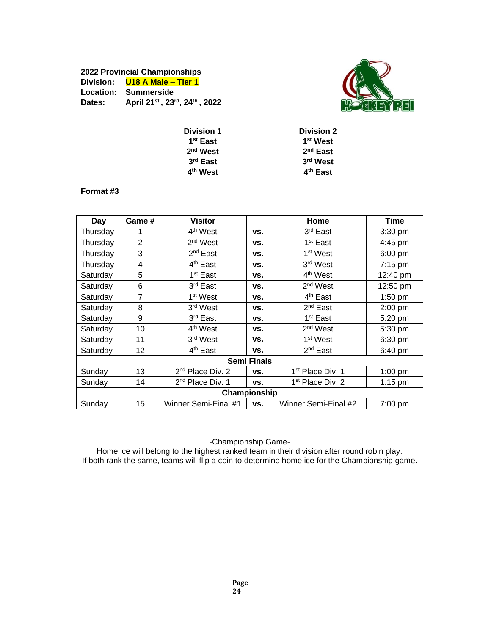#### **2022 Provincial Championships Division: U18 A Male – Tier 1 Location: Summerside Dates: April 21st , 23rd, 24th , 2022**



| <b>Division 1</b>    | <b>Division 2</b>    |
|----------------------|----------------------|
| 1 <sup>st</sup> East | 1 <sup>st</sup> West |
| $2nd$ West           | $2nd$ East           |
| $3rd$ East           | 3rd West             |
| 4 <sup>th</sup> West | 4 <sup>th</sup> East |
|                      |                      |

#### **Format #3**

| Day          | Game #            | <b>Visitor</b>               |                    | Home                         | <b>Time</b>       |  |
|--------------|-------------------|------------------------------|--------------------|------------------------------|-------------------|--|
| Thursdav     |                   | 4 <sup>th</sup> West         | VS.                | 3 <sup>rd</sup> East         | $3:30$ pm         |  |
| Thursday     | 2                 | 2 <sup>nd</sup> West         | VS.                | 1 <sup>st</sup> East         | 4:45 pm           |  |
| Thursdav     | 3                 | 2 <sup>nd</sup> East         | VS.                | 1 <sup>st</sup> West         | $6:00$ pm         |  |
| Thursday     | 4                 | 4 <sup>th</sup> East         | VS.                | 3 <sup>rd</sup> West         | 7:15 pm           |  |
| Saturday     | 5                 | 1 <sup>st</sup> East         | VS.                | 4 <sup>th</sup> West         | 12:40 pm          |  |
| Saturday     | 6                 | 3 <sup>rd</sup> East         | VS.                | $2nd$ West                   | 12:50 pm          |  |
| Saturday     | $\overline{7}$    | 1 <sup>st</sup> West         | VS.                | 4 <sup>th</sup> East         | $1:50$ pm         |  |
| Saturday     | 8                 | 3 <sup>rd</sup> West         | VS.                | 2 <sup>nd</sup> East         | $2:00$ pm         |  |
| Saturday     | 9                 | 3 <sup>rd</sup> East         | VS.                | 1 <sup>st</sup> East         | 5:20 pm           |  |
| Saturday     | 10                | 4 <sup>th</sup> West         | VS.                | $2nd$ West                   | 5:30 pm           |  |
| Saturday     | 11                | 3 <sup>rd</sup> West         | VS.                | 1 <sup>st</sup> West         | 6:30 pm           |  |
| Saturday     | $12 \overline{ }$ | 4 <sup>th</sup> East         | VS.                | $2^{nd}$ East                | $6:40 \text{ pm}$ |  |
|              |                   |                              | <b>Semi Finals</b> |                              |                   |  |
| Sunday       | 13                | 2 <sup>nd</sup> Place Div. 2 | VS.                | 1 <sup>st</sup> Place Div. 1 | $1:00$ pm         |  |
| Sunday       | 14                | 2 <sup>nd</sup> Place Div. 1 | VS.                | 1 <sup>st</sup> Place Div. 2 | $1:15$ pm         |  |
| Championship |                   |                              |                    |                              |                   |  |
| Sunday       | 15                | Winner Semi-Final #1         | VS.                | Winner Semi-Final #2         | 7:00 pm           |  |

-Championship Game-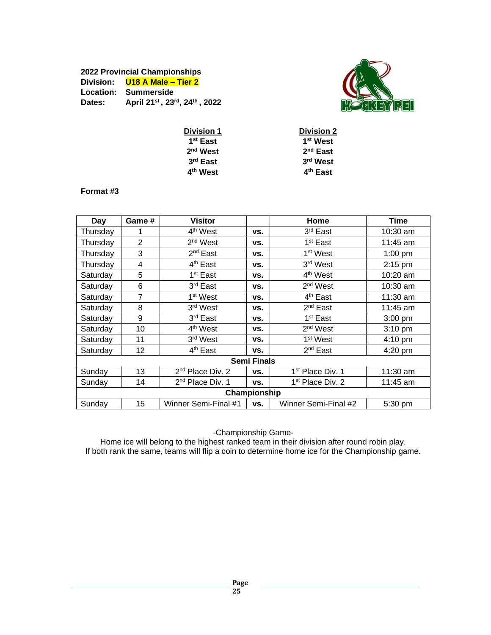### **2022 Provincial Championships Division: U18 A Male – Tier 2 Location: Summerside Dates: April 21 st , 23rd , 24 th , 2022**



| <b>Division 1</b>    | <b>Division 2</b>    |
|----------------------|----------------------|
| 1 <sup>st</sup> East | 1 <sup>st</sup> West |
| $2nd$ West           | $2nd$ East           |
| $3rd$ East           | 3rd West             |
| 4 <sup>th</sup> West | 4 <sup>th</sup> East |
|                      |                      |

#### **Format #3**

|              | Game # | <b>Visitor</b>               |                    |                              | Time              |
|--------------|--------|------------------------------|--------------------|------------------------------|-------------------|
| Day          |        |                              |                    | Home                         |                   |
| Thursday     |        | 4 <sup>th</sup> West         | VS.                | 3 <sup>rd</sup> East         | 10:30 am          |
| Thursday     | 2      | 2 <sup>nd</sup> West         | VS.                | 1 <sup>st</sup> East         | 11:45 am          |
| Thursday     | 3      | 2 <sup>nd</sup> East         | VS.                | 1 <sup>st</sup> West         | 1:00 pm           |
| Thursday     | 4      | 4 <sup>th</sup> East         | VS.                | 3 <sup>rd</sup> West         | $2:15$ pm         |
| Saturday     | 5      | 1 <sup>st</sup> East         | VS.                | 4 <sup>th</sup> West         | $10:20$ am        |
| Saturday     | 6      | 3 <sup>rd</sup> East         | VS.                | 2 <sup>nd</sup> West         | 10:30 am          |
| Saturday     | 7      | 1 <sup>st</sup> West         | VS.                | 4 <sup>th</sup> East         | $11:30$ am        |
| Saturday     | 8      | 3 <sup>rd</sup> West         | VS.                | 2 <sup>nd</sup> East         | 11:45 am          |
| Saturday     | 9      | 3rd East                     | VS.                | 1 <sup>st</sup> East         | $3:00$ pm         |
| Saturday     | 10     | 4 <sup>th</sup> West         | VS.                | $2nd$ West                   | $3:10 \text{ pm}$ |
| Saturday     | 11     | 3 <sup>rd</sup> West         | VS.                | 1 <sup>st</sup> West         | $4:10 \text{ pm}$ |
| Saturday     | 12     | 4 <sup>th</sup> East         | VS.                | $2^{nd}$ East                | $4:20$ pm         |
|              |        |                              | <b>Semi Finals</b> |                              |                   |
| Sunday       | 13     | $2nd$ Place Div. 2           | VS.                | 1 <sup>st</sup> Place Div. 1 | $11:30$ am        |
| Sunday       | 14     | 2 <sup>nd</sup> Place Div. 1 | VS.                | 1 <sup>st</sup> Place Div. 2 | 11:45 am          |
| Championship |        |                              |                    |                              |                   |
| Sunday       | 15     | Winner Semi-Final #1         | VS.                | Winner Semi-Final #2         | 5:30 pm           |

-Championship Game-